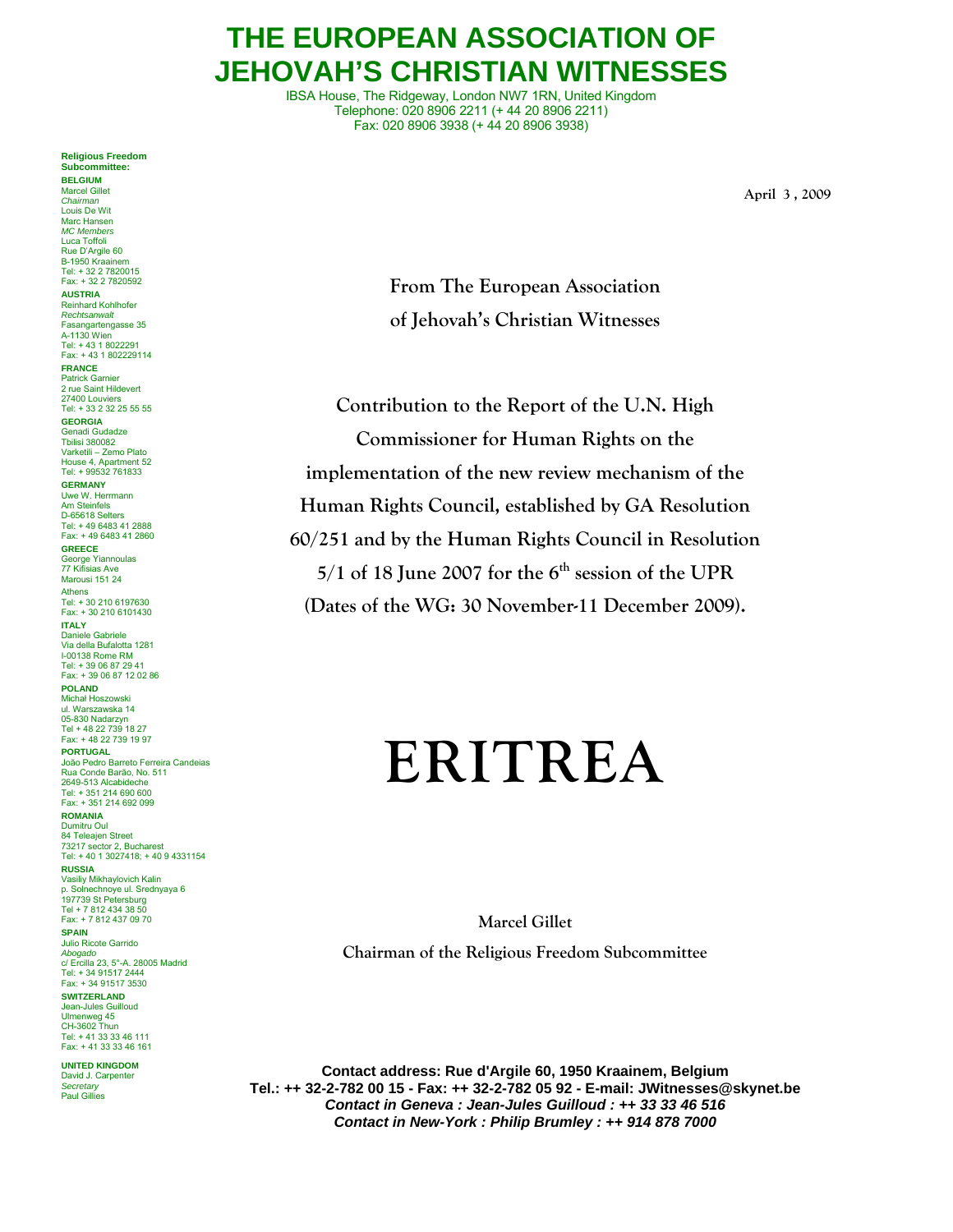## **THE EUROPEAN ASSOCIATION OF JEHOVAH'S CHRISTIAN WITNESSES**

IBSA House, The Ridgeway, London NW7 1RN, United Kingdom Telephone: 020 8906 2211 (+ 44 20 8906 2211) Fax: 020 8906 3938 (+ 44 20 8906 3938)

**April 3 , 2009** 

**From The European Association of Jehovah's Christian Witnesses** 

**Contribution to the Report of the U.N. High Commissioner for Human Rights on the implementation of the new review mechanism of the Human Rights Council, established by GA Resolution 60/251 and by the Human Rights Council in Resolution**   $5/1$  of 18 June 2007 for the  $6<sup>th</sup>$  session of the UPR **(Dates of the WG: 30 November-11 December 2009).** 

# **ERITREA**

**Marcel Gillet** 

**Chairman of the Religious Freedom Subcommittee** 

**Contact address: Rue d'Argile 60, 1950 Kraainem, Belgium Tel.: ++ 32-2-782 00 15 - Fax: ++ 32-2-782 05 92 - E-mail: JWitnesses@skynet.be**  *Contact in Geneva : Jean-Jules Guilloud : ++ 33 33 46 516 Contact in New-York : Philip Brumley : ++ 914 878 7000* 

#### **Religious Freedom Subcommittee:**

**BELGIUM**  Marcel Gillet *Chairman* Louis De Wit Marc Hansen *MC Members* Luca Toffoli Rue D'Argile 60 B-1950 Kraainem Tel: + 32 2 7820015 Fax: + 32 2 7820592 **AUSTRIA** Reinhard Kohlhofer *Rechtsanwalt* Fasangartengasse 35 A-1130 Wien Tel: + 43 1 8022291 Fax: + 43 1 802229114 **FRANCE** Patrick Garnier 2 rue Saint Hildevert 27400 Louviers Tel: + 33 2 32 25 55 55 **GEORGIA** Genadi Gudadze Tbilisi 380082 Varketili – Zemo Plato House 4, Apartment 52 Tel: + 99532 761833 **GERMANY** Uwe W. Herrmann Am Steinfels D-65618 Selters Tel: + 49 6483 41 2888 Fax: + 49 6483 41 2860 **GREECE** George Yiannoulas 77 Kifisias Ave Marousi 151 24 Athens Tel: + 30 210 6197630 Fax: + 30 210 6101430 **ITALY** Daniele Gabriele Via della Bufalotta 1281 I-00138 Rome RM Tel: + 39 06 87 29 41 Fax: + 39 06 87 12 02 86 **POLAND** Michał Hoszowski ul. Warszawska 14 05-830 Nadarzyn Tel + 48 22 739 18 27 Fax: + 48 22 739 19 97 **PORTUGAL** João Pedro Barreto Ferreira Candeias Rua Conde Barão, No. 511 2649-513 Alcabideche Tel: + 351 214 690 600 Fax: + 351 214 692 099 **ROMANIA** Dumitru Oul 84 Teleajen Street 73217 sector 2, Bucharest Tel: + 40 1 3027418; + 40 9 4331154 **RUSSIA** Vasiliy Mikhaylovich Kalin p. Solnechnoye ul. Srednyaya 6 197739 St Petersburg Tel + 7 812 434 38 50 Fax: + 7 812 437 09 70 **SPAIN** Julio Ricote Garrido *Abogado* c/ Ercilla 23, 5°-A. 28005 Madrid Tel: + 34 91517 2444 Fax: + 34 91517 3530 **SWITZERLAND** Jean-Jules Guilloud Ulmenweg 45 CH-3602 Thun Tel: + 41 33 33 46 111 Fax: + 41 33 33 46 161

**UNITED KINGDOM** David J. Carpenter *Secretary* Paul Gillies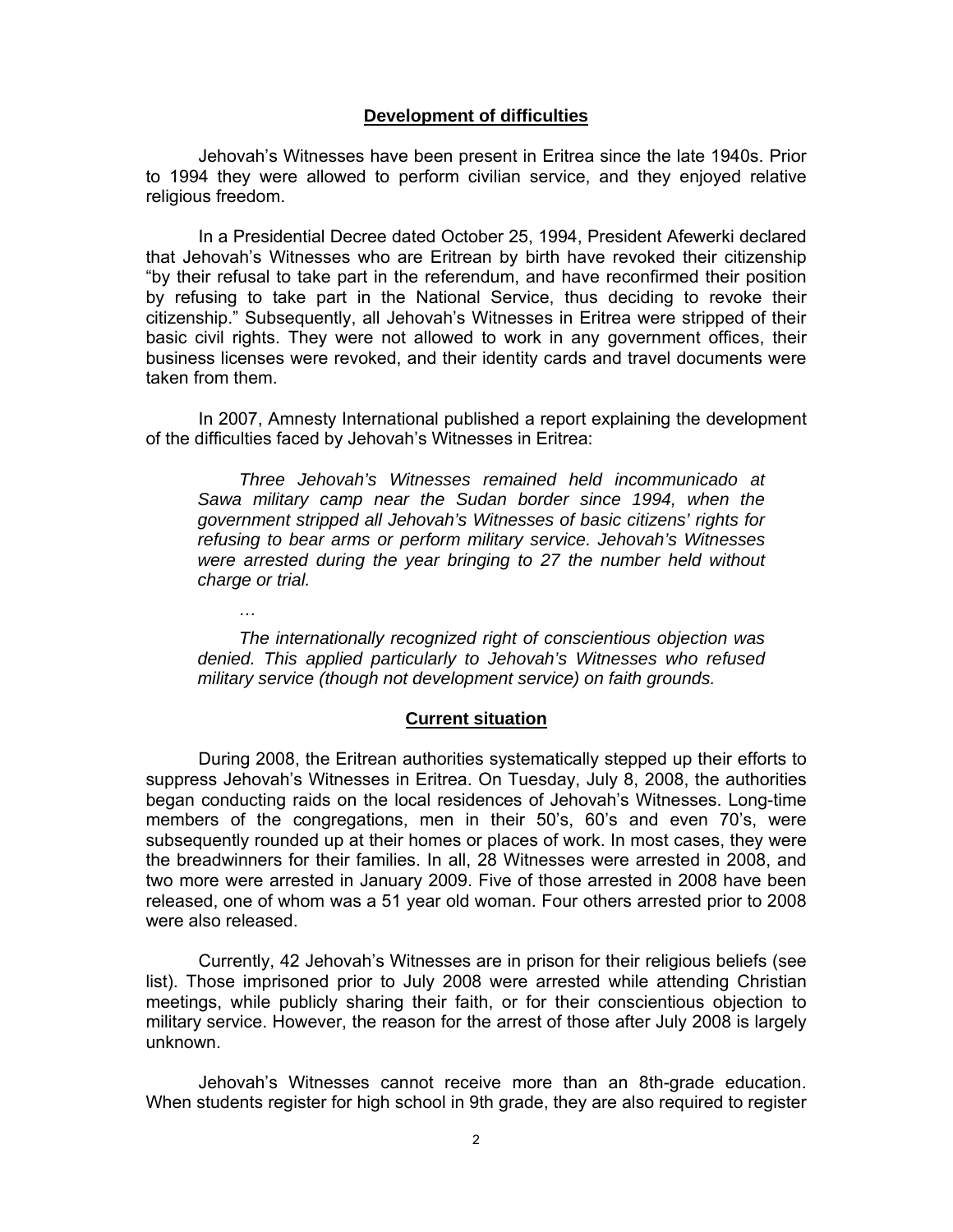#### **Development of difficulties**

 Jehovah's Witnesses have been present in Eritrea since the late 1940s. Prior to 1994 they were allowed to perform civilian service, and they enjoyed relative religious freedom.

 In a Presidential Decree dated October 25, 1994, President Afewerki declared that Jehovah's Witnesses who are Eritrean by birth have revoked their citizenship "by their refusal to take part in the referendum, and have reconfirmed their position by refusing to take part in the National Service, thus deciding to revoke their citizenship." Subsequently, all Jehovah's Witnesses in Eritrea were stripped of their basic civil rights. They were not allowed to work in any government offices, their business licenses were revoked, and their identity cards and travel documents were taken from them.

 In 2007, Amnesty International published a report explaining the development of the difficulties faced by Jehovah's Witnesses in Eritrea:

*Three Jehovah's Witnesses remained held incommunicado at Sawa military camp near the Sudan border since 1994, when the government stripped all Jehovah's Witnesses of basic citizens' rights for refusing to bear arms or perform military service. Jehovah's Witnesses were arrested during the year bringing to 27 the number held without charge or trial.* 

*The internationally recognized right of conscientious objection was denied. This applied particularly to Jehovah's Witnesses who refused military service (though not development service) on faith grounds.* 

*…* 

#### **Current situation**

 During 2008, the Eritrean authorities systematically stepped up their efforts to suppress Jehovah's Witnesses in Eritrea. On Tuesday, July 8, 2008, the authorities began conducting raids on the local residences of Jehovah's Witnesses. Long-time members of the congregations, men in their 50's, 60's and even 70's, were subsequently rounded up at their homes or places of work. In most cases, they were the breadwinners for their families. In all, 28 Witnesses were arrested in 2008, and two more were arrested in January 2009. Five of those arrested in 2008 have been released, one of whom was a 51 year old woman. Four others arrested prior to 2008 were also released.

 Currently, 42 Jehovah's Witnesses are in prison for their religious beliefs (see list). Those imprisoned prior to July 2008 were arrested while attending Christian meetings, while publicly sharing their faith, or for their conscientious objection to military service. However, the reason for the arrest of those after July 2008 is largely unknown.

 Jehovah's Witnesses cannot receive more than an 8th-grade education. When students register for high school in 9th grade, they are also required to register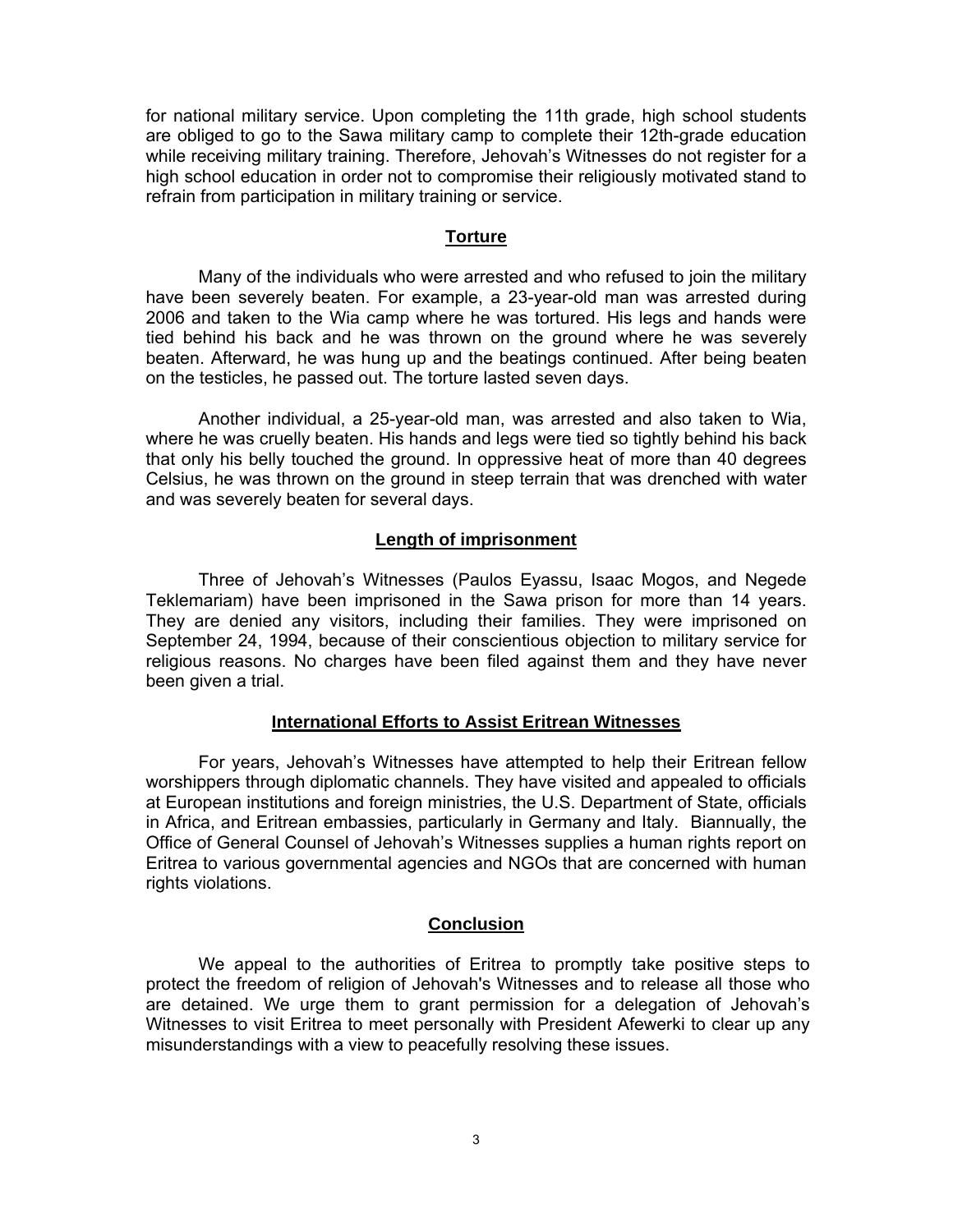for national military service. Upon completing the 11th grade, high school students are obliged to go to the Sawa military camp to complete their 12th-grade education while receiving military training. Therefore, Jehovah's Witnesses do not register for a high school education in order not to compromise their religiously motivated stand to refrain from participation in military training or service.

#### **Torture**

 Many of the individuals who were arrested and who refused to join the military have been severely beaten. For example, a 23-year-old man was arrested during 2006 and taken to the Wia camp where he was tortured. His legs and hands were tied behind his back and he was thrown on the ground where he was severely beaten. Afterward, he was hung up and the beatings continued. After being beaten on the testicles, he passed out. The torture lasted seven days.

 Another individual, a 25-year-old man, was arrested and also taken to Wia, where he was cruelly beaten. His hands and legs were tied so tightly behind his back that only his belly touched the ground. In oppressive heat of more than 40 degrees Celsius, he was thrown on the ground in steep terrain that was drenched with water and was severely beaten for several days.

#### **Length of imprisonment**

 Three of Jehovah's Witnesses (Paulos Eyassu, Isaac Mogos, and Negede Teklemariam) have been imprisoned in the Sawa prison for more than 14 years. They are denied any visitors, including their families. They were imprisoned on September 24, 1994, because of their conscientious objection to military service for religious reasons. No charges have been filed against them and they have never been given a trial.

#### **International Efforts to Assist Eritrean Witnesses**

 For years, Jehovah's Witnesses have attempted to help their Eritrean fellow worshippers through diplomatic channels. They have visited and appealed to officials at European institutions and foreign ministries, the U.S. Department of State, officials in Africa, and Eritrean embassies, particularly in Germany and Italy. Biannually, the Office of General Counsel of Jehovah's Witnesses supplies a human rights report on Eritrea to various governmental agencies and NGOs that are concerned with human rights violations.

#### **Conclusion**

 We appeal to the authorities of Eritrea to promptly take positive steps to protect the freedom of religion of Jehovah's Witnesses and to release all those who are detained. We urge them to grant permission for a delegation of Jehovah's Witnesses to visit Eritrea to meet personally with President Afewerki to clear up any misunderstandings with a view to peacefully resolving these issues.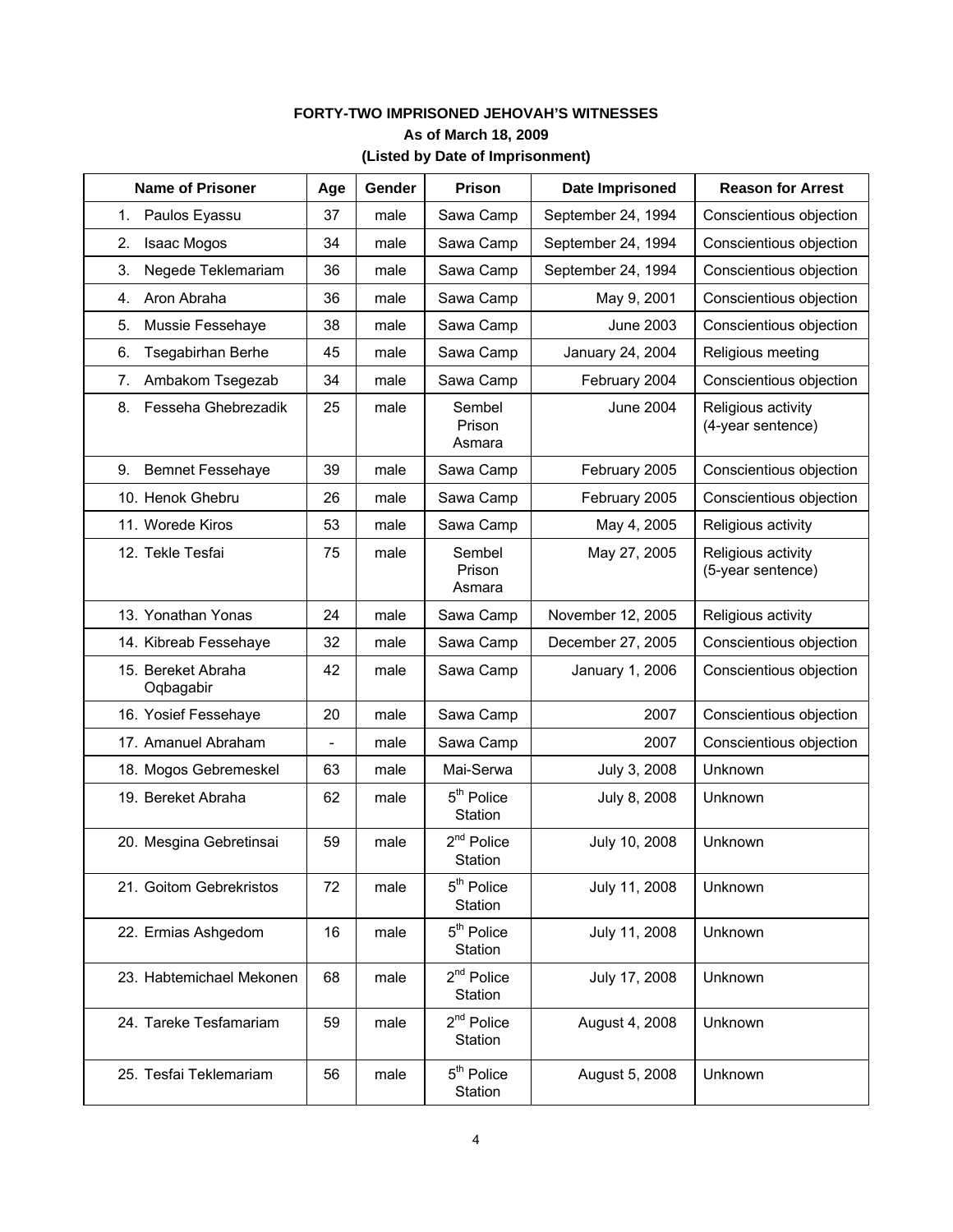### **FORTY-TWO IMPRISONED JEHOVAH'S WITNESSES As of March 18, 2009 (Listed by Date of Imprisonment)**

| <b>Name of Prisoner</b>         | Age | Gender | Prison                            | Date Imprisoned    | <b>Reason for Arrest</b>                |
|---------------------------------|-----|--------|-----------------------------------|--------------------|-----------------------------------------|
| 1.<br>Paulos Eyassu             | 37  | male   | Sawa Camp                         | September 24, 1994 | Conscientious objection                 |
| 2.<br>Isaac Mogos               | 34  | male   | Sawa Camp                         | September 24, 1994 | Conscientious objection                 |
| 3.<br>Negede Teklemariam        | 36  | male   | Sawa Camp                         | September 24, 1994 | Conscientious objection                 |
| Aron Abraha<br>4.               | 36  | male   | Sawa Camp                         | May 9, 2001        | Conscientious objection                 |
| 5.<br>Mussie Fessehaye          | 38  | male   | Sawa Camp                         | <b>June 2003</b>   | Conscientious objection                 |
| 6.<br><b>Tsegabirhan Berhe</b>  | 45  | male   | Sawa Camp                         | January 24, 2004   | Religious meeting                       |
| Ambakom Tsegezab<br>7.          | 34  | male   | Sawa Camp                         | February 2004      | Conscientious objection                 |
| Fesseha Ghebrezadik<br>8.       | 25  | male   | Sembel<br>Prison<br>Asmara        | <b>June 2004</b>   | Religious activity<br>(4-year sentence) |
| <b>Bemnet Fessehaye</b><br>9.   | 39  | male   | Sawa Camp                         | February 2005      | Conscientious objection                 |
| 10. Henok Ghebru                | 26  | male   | Sawa Camp                         | February 2005      | Conscientious objection                 |
| 11. Worede Kiros                | 53  | male   | Sawa Camp                         | May 4, 2005        | Religious activity                      |
| 12. Tekle Tesfai                | 75  | male   | Sembel<br>Prison<br>Asmara        | May 27, 2005       | Religious activity<br>(5-year sentence) |
| 13. Yonathan Yonas              | 24  | male   | Sawa Camp                         | November 12, 2005  | Religious activity                      |
| 14. Kibreab Fessehaye           | 32  | male   | Sawa Camp                         | December 27, 2005  | Conscientious objection                 |
| 15. Bereket Abraha<br>Oqbagabir | 42  | male   | Sawa Camp                         | January 1, 2006    | Conscientious objection                 |
| 16. Yosief Fessehaye            | 20  | male   | Sawa Camp                         | 2007               | Conscientious objection                 |
| 17. Amanuel Abraham             |     | male   | Sawa Camp                         | 2007               | Conscientious objection                 |
| 18. Mogos Gebremeskel           | 63  | male   | Mai-Serwa                         | July 3, 2008       | Unknown                                 |
| 19. Bereket Abraha              | 62  | male   | 5 <sup>th</sup> Police<br>Station | July 8, 2008       | Unknown                                 |
| 20. Mesgina Gebretinsai         | 59  | male   | $2nd$ Police<br>Station           | July 10, 2008      | Unknown                                 |
| 21. Goitom Gebrekristos         | 72  | male   | 5 <sup>th</sup> Police<br>Station | July 11, 2008      | Unknown                                 |
| 22. Ermias Ashgedom             | 16  | male   | 5 <sup>th</sup> Police<br>Station | July 11, 2008      | Unknown                                 |
| 23. Habtemichael Mekonen        | 68  | male   | $2nd$ Police<br>Station           | July 17, 2008      | Unknown                                 |
| 24. Tareke Tesfamariam          | 59  | male   | $2nd$ Police<br>Station           | August 4, 2008     | Unknown                                 |
| 25. Tesfai Teklemariam          | 56  | male   | 5 <sup>th</sup> Police<br>Station | August 5, 2008     | Unknown                                 |